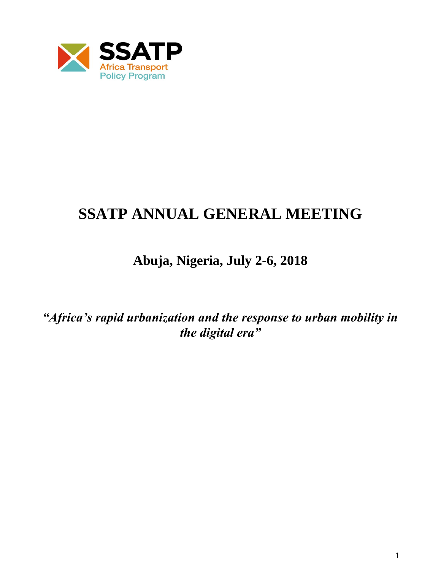

# **SSATP ANNUAL GENERAL MEETING**

# **Abuja, Nigeria, July 2-6, 2018**

*"Africa's rapid urbanization and the response to urban mobility in the digital era"*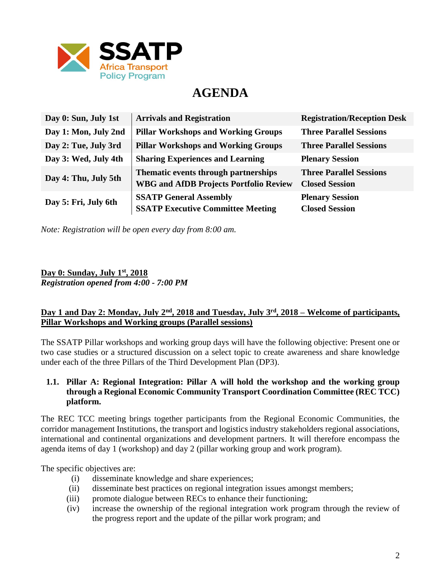

# **AGENDA**

| Day 0: Sun, July 1st | <b>Arrivals and Registration</b>                                                      | <b>Registration/Reception Desk</b>                      |
|----------------------|---------------------------------------------------------------------------------------|---------------------------------------------------------|
| Day 1: Mon, July 2nd | <b>Pillar Workshops and Working Groups</b>                                            | <b>Three Parallel Sessions</b>                          |
| Day 2: Tue, July 3rd | <b>Pillar Workshops and Working Groups</b>                                            | <b>Three Parallel Sessions</b>                          |
| Day 3: Wed, July 4th | <b>Sharing Experiences and Learning</b>                                               | <b>Plenary Session</b>                                  |
| Day 4: Thu, July 5th | Thematic events through partnerships<br><b>WBG and AfDB Projects Portfolio Review</b> | <b>Three Parallel Sessions</b><br><b>Closed Session</b> |
|                      |                                                                                       |                                                         |
| Day 5: Fri, July 6th | <b>SSATP General Assembly</b><br><b>SSATP Executive Committee Meeting</b>             | <b>Plenary Session</b><br><b>Closed Session</b>         |

*Note: Registration will be open every day from 8:00 am.*

**Day 0: Sunday, July 1st, 2018** *Registration opened from 4:00 - 7:00 PM*

# **Day 1 and Day 2: Monday, July 2nd, 2018 and Tuesday, July 3rd, 2018 – Welcome of participants, Pillar Workshops and Working groups (Parallel sessions)**

The SSATP Pillar workshops and working group days will have the following objective: Present one or two case studies or a structured discussion on a select topic to create awareness and share knowledge under each of the three Pillars of the Third Development Plan (DP3).

# **1.1. Pillar A: Regional Integration: Pillar A will hold the workshop and the working group through a Regional Economic Community Transport Coordination Committee (REC TCC) platform.**

The REC TCC meeting brings together participants from the Regional Economic Communities, the corridor management Institutions, the transport and logistics industry stakeholders regional associations, international and continental organizations and development partners. It will therefore encompass the agenda items of day 1 (workshop) and day 2 (pillar working group and work program).

The specific objectives are:

- (i) disseminate knowledge and share experiences;
- (ii) disseminate best practices on regional integration issues amongst members;
- (iii) promote dialogue between RECs to enhance their functioning;
- (iv) increase the ownership of the regional integration work program through the review of the progress report and the update of the pillar work program; and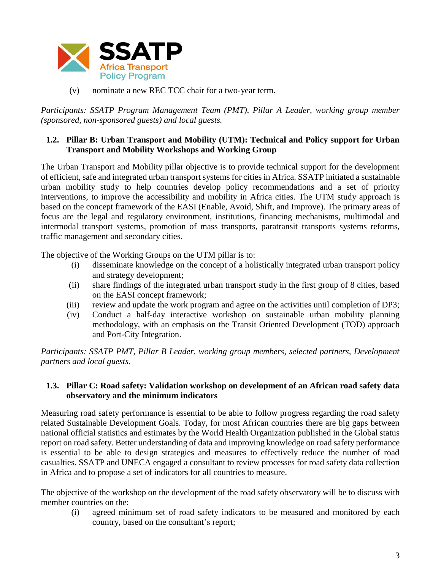

(v) nominate a new REC TCC chair for a two-year term.

*Participants: SSATP Program Management Team (PMT), Pillar A Leader, working group member (sponsored, non-sponsored guests) and local guests.*

#### **1.2. Pillar B: Urban Transport and Mobility (UTM): Technical and Policy support for Urban Transport and Mobility Workshops and Working Group**

The Urban Transport and Mobility pillar objective is to provide technical support for the development of efficient, safe and integrated urban transport systems for cities in Africa. SSATP initiated a sustainable urban mobility study to help countries develop policy recommendations and a set of priority interventions, to improve the accessibility and mobility in Africa cities. The UTM study approach is based on the concept framework of the EASI (Enable, Avoid, Shift, and Improve). The primary areas of focus are the legal and regulatory environment, institutions, financing mechanisms, multimodal and intermodal transport systems, promotion of mass transports, paratransit transports systems reforms, traffic management and secondary cities.

The objective of the Working Groups on the UTM pillar is to:

- (i) disseminate knowledge on the concept of a holistically integrated urban transport policy and strategy development;
- (ii) share findings of the integrated urban transport study in the first group of 8 cities, based on the EASI concept framework;
- (iii) review and update the work program and agree on the activities until completion of DP3;
- (iv) Conduct a half-day interactive workshop on sustainable urban mobility planning methodology, with an emphasis on the Transit Oriented Development (TOD) approach and Port-City Integration.

*Participants: SSATP PMT, Pillar B Leader, working group members, selected partners, Development partners and local guests.*

# **1.3. Pillar C: Road safety: Validation workshop on development of an African road safety data observatory and the minimum indicators**

Measuring road safety performance is essential to be able to follow progress regarding the road safety related Sustainable Development Goals. Today, for most African countries there are big gaps between national official statistics and estimates by the World Health Organization published in the Global status report on road safety. Better understanding of data and improving knowledge on road safety performance is essential to be able to design strategies and measures to effectively reduce the number of road casualties. SSATP and UNECA engaged a consultant to review processes for road safety data collection in Africa and to propose a set of indicators for all countries to measure.

The objective of the workshop on the development of the road safety observatory will be to discuss with member countries on the:

(i) agreed minimum set of road safety indicators to be measured and monitored by each country, based on the consultant's report;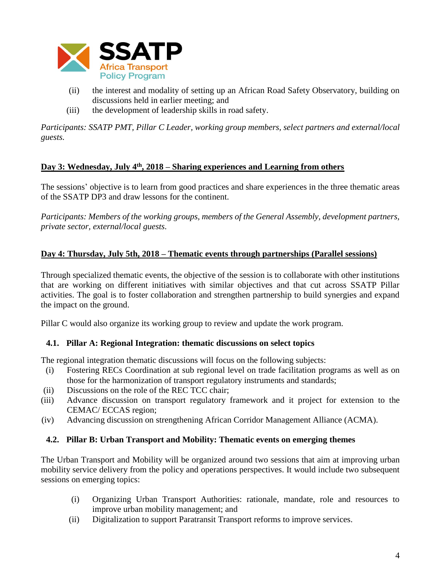

- (ii) the interest and modality of setting up an African Road Safety Observatory, building on discussions held in earlier meeting; and
- (iii) the development of leadership skills in road safety.

*Participants: SSATP PMT, Pillar C Leader, working group members, select partners and external/local guests.*

# **Day 3: Wednesday, July 4th, 2018 – Sharing experiences and Learning from others**

The sessions' objective is to learn from good practices and share experiences in the three thematic areas of the SSATP DP3 and draw lessons for the continent.

*Participants: Members of the working groups, members of the General Assembly, development partners, private sector, external/local guests.*

# **Day 4: Thursday, July 5th, 2018 – Thematic events through partnerships (Parallel sessions)**

Through specialized thematic events, the objective of the session is to collaborate with other institutions that are working on different initiatives with similar objectives and that cut across SSATP Pillar activities. The goal is to foster collaboration and strengthen partnership to build synergies and expand the impact on the ground.

Pillar C would also organize its working group to review and update the work program.

# **4.1. Pillar A: Regional Integration: thematic discussions on select topics**

The regional integration thematic discussions will focus on the following subjects:

- (i) Fostering RECs Coordination at sub regional level on trade facilitation programs as well as on those for the harmonization of transport regulatory instruments and standards;
- (ii) Discussions on the role of the REC TCC chair;
- (iii) Advance discussion on transport regulatory framework and it project for extension to the CEMAC/ ECCAS region;
- (iv) Advancing discussion on strengthening African Corridor Management Alliance (ACMA).

# **4.2. Pillar B: Urban Transport and Mobility: Thematic events on emerging themes**

The Urban Transport and Mobility will be organized around two sessions that aim at improving urban mobility service delivery from the policy and operations perspectives. It would include two subsequent sessions on emerging topics:

- (i) Organizing Urban Transport Authorities: rationale, mandate, role and resources to improve urban mobility management; and
- (ii) Digitalization to support Paratransit Transport reforms to improve services.